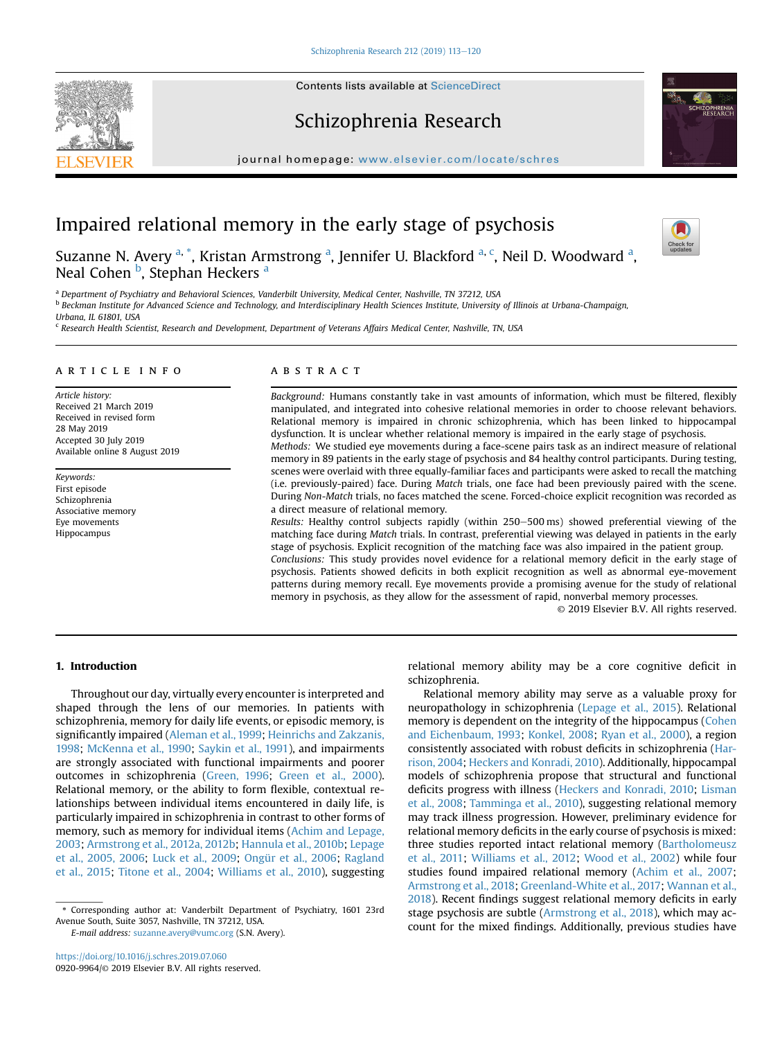## Schizophrenia Research

journal homepage: <www.elsevier.com/locate/schres>

# Impaired relational memory in the early stage of psychosis

Suzanne N. Avery <sup>a, \*</sup>, Kristan Armstrong <sup>a</sup>, Jennifer U. Blackford <sup>a, c</sup>, Neil D. Woodward <sup>a</sup>, Neal Cohen <sup>b</sup>, Stephan Heckers <sup>a</sup>

<sup>a</sup> Department of Psychiatry and Behavioral Sciences, Vanderbilt University, Medical Center, Nashville, TN 37212, USA

**b Beckman Institute for Advanced Science and Technology, and Interdisciplinary Health Sciences Institute, University of Illinois at Urbana-Champaign,** 

Urbana, IL 61801, USA

<sup>c</sup> Research Health Scientist, Research and Development, Department of Veterans Affairs Medical Center, Nashville, TN, USA

#### article info

Article history: Received 21 March 2019 Received in revised form 28 May 2019 Accepted 30 July 2019 Available online 8 August 2019

Keywords: First episode Schizophrenia Associative memory Eye movements Hippocampus

#### ABSTRACT

Background: Humans constantly take in vast amounts of information, which must be filtered, flexibly manipulated, and integrated into cohesive relational memories in order to choose relevant behaviors. Relational memory is impaired in chronic schizophrenia, which has been linked to hippocampal dysfunction. It is unclear whether relational memory is impaired in the early stage of psychosis. Methods: We studied eye movements during a face-scene pairs task as an indirect measure of relational memory in 89 patients in the early stage of psychosis and 84 healthy control participants. During testing,

scenes were overlaid with three equally-familiar faces and participants were asked to recall the matching (i.e. previously-paired) face. During Match trials, one face had been previously paired with the scene. During Non-Match trials, no faces matched the scene. Forced-choice explicit recognition was recorded as a direct measure of relational memory.

Results: Healthy control subjects rapidly (within 250-500 ms) showed preferential viewing of the matching face during Match trials. In contrast, preferential viewing was delayed in patients in the early stage of psychosis. Explicit recognition of the matching face was also impaired in the patient group. Conclusions: This study provides novel evidence for a relational memory deficit in the early stage of psychosis. Patients showed deficits in both explicit recognition as well as abnormal eye-movement

patterns during memory recall. Eye movements provide a promising avenue for the study of relational memory in psychosis, as they allow for the assessment of rapid, nonverbal memory processes.

© 2019 Elsevier B.V. All rights reserved.

## 1. Introduction

Throughout our day, virtually every encounter is interpreted and shaped through the lens of our memories. In patients with schizophrenia, memory for daily life events, or episodic memory, is significantly impaired [\(Aleman et al., 1999;](#page-6-0) [Heinrichs and Zakzanis,](#page-7-0) [1998;](#page-7-0) [McKenna et al., 1990;](#page-7-0) [Saykin et al., 1991](#page-7-0)), and impairments are strongly associated with functional impairments and poorer outcomes in schizophrenia ([Green, 1996](#page-6-0); [Green et al., 2000\)](#page-6-0). Relational memory, or the ability to form flexible, contextual relationships between individual items encountered in daily life, is particularly impaired in schizophrenia in contrast to other forms of memory, such as memory for individual items [\(Achim and Lepage,](#page-6-0) [2003;](#page-6-0) [Armstrong et al., 2012a, 2012b;](#page-6-0) [Hannula et al., 2010b;](#page-6-0) [Lepage](#page-7-0) [et al., 2005, 2006](#page-7-0); [Luck et al., 2009;](#page-7-0) [Ongür et al., 2006](#page-7-0); [Ragland](#page-7-0) [et al., 2015;](#page-7-0) [Titone et al., 2004;](#page-7-0) [Williams et al., 2010](#page-7-0)), suggesting

E-mail address: [suzanne.avery@vumc.org](mailto:suzanne.avery@vumc.org) (S.N. Avery).

relational memory ability may be a core cognitive deficit in schizophrenia.

Relational memory ability may serve as a valuable proxy for neuropathology in schizophrenia ([Lepage et al., 2015\)](#page-7-0). Relational memory is dependent on the integrity of the hippocampus ([Cohen](#page-6-0) [and Eichenbaum, 1993;](#page-6-0) [Konkel, 2008;](#page-7-0) [Ryan et al., 2000\)](#page-7-0), a region consistently associated with robust deficits in schizophrenia ([Har](#page-6-0)[rison, 2004;](#page-6-0) [Heckers and Konradi, 2010](#page-6-0)). Additionally, hippocampal models of schizophrenia propose that structural and functional deficits progress with illness [\(Heckers and Konradi, 2010;](#page-6-0) [Lisman](#page-7-0) [et al., 2008](#page-7-0); [Tamminga et al., 2010\)](#page-7-0), suggesting relational memory may track illness progression. However, preliminary evidence for relational memory deficits in the early course of psychosis is mixed: three studies reported intact relational memory ([Bartholomeusz](#page-6-0) [et al., 2011;](#page-6-0) [Williams et al., 2012](#page-7-0); [Wood et al., 2002\)](#page-7-0) while four studies found impaired relational memory [\(Achim et al., 2007;](#page-6-0) [Armstrong et al., 2018](#page-6-0); [Greenland-White et al., 2017;](#page-6-0) [Wannan et al.,](#page-7-0) [2018\)](#page-7-0). Recent findings suggest relational memory deficits in early stage psychosis are subtle [\(Armstrong et al., 2018](#page-6-0)), which may account for the mixed findings. Additionally, previous studies have





Check fo

<sup>\*</sup> Corresponding author at: Vanderbilt Department of Psychiatry, 1601 23rd Avenue South, Suite 3057, Nashville, TN 37212, USA.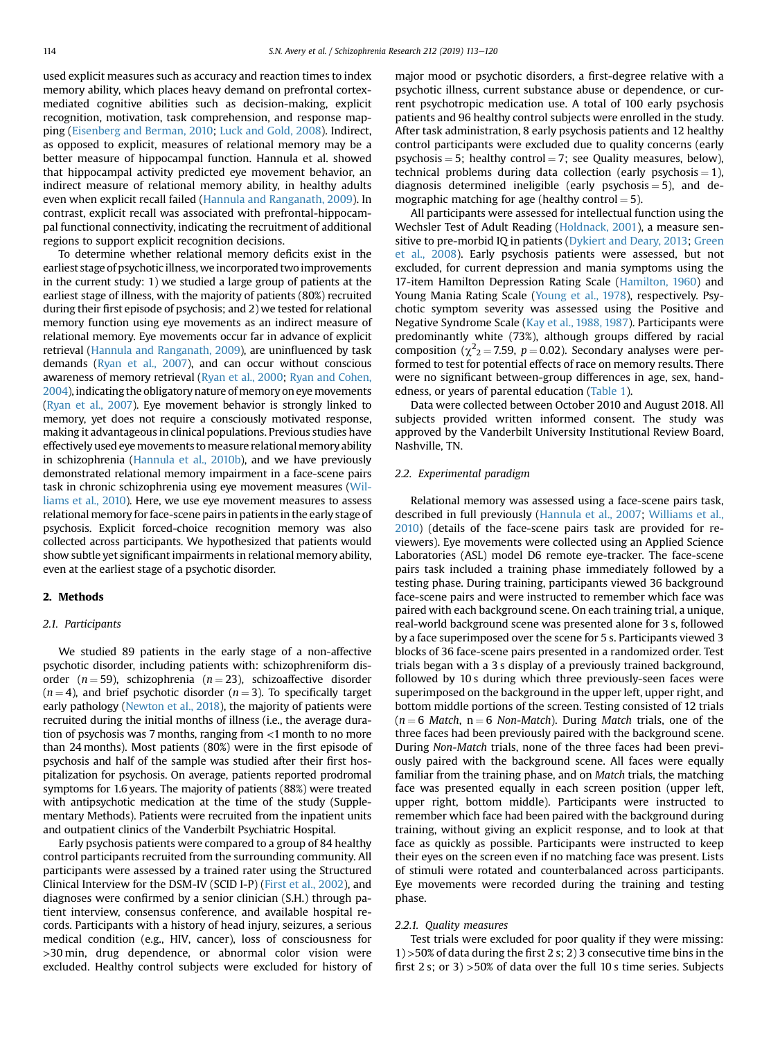used explicit measures such as accuracy and reaction times to index memory ability, which places heavy demand on prefrontal cortexmediated cognitive abilities such as decision-making, explicit recognition, motivation, task comprehension, and response mapping [\(Eisenberg and Berman, 2010;](#page-6-0) [Luck and Gold, 2008](#page-7-0)). Indirect, as opposed to explicit, measures of relational memory may be a better measure of hippocampal function. Hannula et al. showed that hippocampal activity predicted eye movement behavior, an indirect measure of relational memory ability, in healthy adults even when explicit recall failed [\(Hannula and Ranganath, 2009](#page-6-0)). In contrast, explicit recall was associated with prefrontal-hippocampal functional connectivity, indicating the recruitment of additional regions to support explicit recognition decisions.

To determine whether relational memory deficits exist in the earliest stage of psychotic illness, we incorporated two improvements in the current study: 1) we studied a large group of patients at the earliest stage of illness, with the majority of patients (80%) recruited during their first episode of psychosis; and 2) we tested for relational memory function using eye movements as an indirect measure of relational memory. Eye movements occur far in advance of explicit retrieval [\(Hannula and Ranganath, 2009](#page-6-0)), are uninfluenced by task demands [\(Ryan et al., 2007\)](#page-7-0), and can occur without conscious awareness of memory retrieval ([Ryan et al., 2000](#page-7-0); [Ryan and Cohen,](#page-7-0) [2004\)](#page-7-0), indicating the obligatory nature of memory on eye movements ([Ryan et al., 2007](#page-7-0)). Eye movement behavior is strongly linked to memory, yet does not require a consciously motivated response, making it advantageous in clinical populations. Previous studies have effectively used eye movements to measure relational memory ability in schizophrenia ([Hannula et al., 2010b\)](#page-6-0), and we have previously demonstrated relational memory impairment in a face-scene pairs task in chronic schizophrenia using eye movement measures [\(Wil](#page-7-0)[liams et al., 2010](#page-7-0)). Here, we use eye movement measures to assess relational memory for face-scene pairs in patients in the early stage of psychosis. Explicit forced-choice recognition memory was also collected across participants. We hypothesized that patients would show subtle yet significant impairments in relational memory ability, even at the earliest stage of a psychotic disorder.

## 2. Methods

#### 2.1. Participants

We studied 89 patients in the early stage of a non-affective psychotic disorder, including patients with: schizophreniform disorder  $(n = 59)$ , schizophrenia  $(n = 23)$ , schizoaffective disorder  $(n = 4)$ , and brief psychotic disorder  $(n = 3)$ . To specifically target early pathology [\(Newton et al., 2018\)](#page-7-0), the majority of patients were recruited during the initial months of illness (i.e., the average duration of psychosis was 7 months, ranging from <1 month to no more than 24 months). Most patients (80%) were in the first episode of psychosis and half of the sample was studied after their first hospitalization for psychosis. On average, patients reported prodromal symptoms for 1.6 years. The majority of patients (88%) were treated with antipsychotic medication at the time of the study (Supplementary Methods). Patients were recruited from the inpatient units and outpatient clinics of the Vanderbilt Psychiatric Hospital.

Early psychosis patients were compared to a group of 84 healthy control participants recruited from the surrounding community. All participants were assessed by a trained rater using the Structured Clinical Interview for the DSM-IV (SCID I-P) [\(First et al., 2002\)](#page-6-0), and diagnoses were confirmed by a senior clinician (S.H.) through patient interview, consensus conference, and available hospital records. Participants with a history of head injury, seizures, a serious medical condition (e.g., HIV, cancer), loss of consciousness for >30 min, drug dependence, or abnormal color vision were excluded. Healthy control subjects were excluded for history of major mood or psychotic disorders, a first-degree relative with a psychotic illness, current substance abuse or dependence, or current psychotropic medication use. A total of 100 early psychosis patients and 96 healthy control subjects were enrolled in the study. After task administration, 8 early psychosis patients and 12 healthy control participants were excluded due to quality concerns (early psychosis  $= 5$ ; healthy control  $= 7$ ; see Quality measures, below), technical problems during data collection (early psychosis  $= 1$ ), diagnosis determined ineligible (early psychosis  $=$  5), and demographic matching for age (healthy control  $= 5$ ).

All participants were assessed for intellectual function using the Wechsler Test of Adult Reading [\(Holdnack, 2001\)](#page-7-0), a measure sensitive to pre-morbid IQ in patients ([Dykiert and Deary, 2013](#page-6-0); [Green](#page-6-0) [et al., 2008\)](#page-6-0). Early psychosis patients were assessed, but not excluded, for current depression and mania symptoms using the 17-item Hamilton Depression Rating Scale [\(Hamilton, 1960](#page-6-0)) and Young Mania Rating Scale [\(Young et al., 1978](#page-7-0)), respectively. Psychotic symptom severity was assessed using the Positive and Negative Syndrome Scale [\(Kay et al., 1988, 1987](#page-7-0)). Participants were predominantly white (73%), although groups differed by racial composition ( $\chi^2$ <sub>2</sub> = 7.59, p = 0.02). Secondary analyses were performed to test for potential effects of race on memory results. There were no significant between-group differences in age, sex, handedness, or years of parental education [\(Table 1](#page-2-0)).

Data were collected between October 2010 and August 2018. All subjects provided written informed consent. The study was approved by the Vanderbilt University Institutional Review Board, Nashville, TN.

#### 2.2. Experimental paradigm

Relational memory was assessed using a face-scene pairs task, described in full previously [\(Hannula et al., 2007;](#page-6-0) [Williams et al.,](#page-7-0) [2010\)](#page-7-0) (details of the face-scene pairs task are provided for reviewers). Eye movements were collected using an Applied Science Laboratories (ASL) model D6 remote eye-tracker. The face-scene pairs task included a training phase immediately followed by a testing phase. During training, participants viewed 36 background face-scene pairs and were instructed to remember which face was paired with each background scene. On each training trial, a unique, real-world background scene was presented alone for 3 s, followed by a face superimposed over the scene for 5 s. Participants viewed 3 blocks of 36 face-scene pairs presented in a randomized order. Test trials began with a 3 s display of a previously trained background, followed by 10 s during which three previously-seen faces were superimposed on the background in the upper left, upper right, and bottom middle portions of the screen. Testing consisted of 12 trials  $(n = 6$  Match,  $n = 6$  Non-Match). During Match trials, one of the three faces had been previously paired with the background scene. During Non-Match trials, none of the three faces had been previously paired with the background scene. All faces were equally familiar from the training phase, and on Match trials, the matching face was presented equally in each screen position (upper left, upper right, bottom middle). Participants were instructed to remember which face had been paired with the background during training, without giving an explicit response, and to look at that face as quickly as possible. Participants were instructed to keep their eyes on the screen even if no matching face was present. Lists of stimuli were rotated and counterbalanced across participants. Eye movements were recorded during the training and testing phase.

#### 2.2.1. Quality measures

Test trials were excluded for poor quality if they were missing: 1) >50% of data during the first 2 s; 2) 3 consecutive time bins in the first 2 s; or 3) >50% of data over the full 10 s time series. Subjects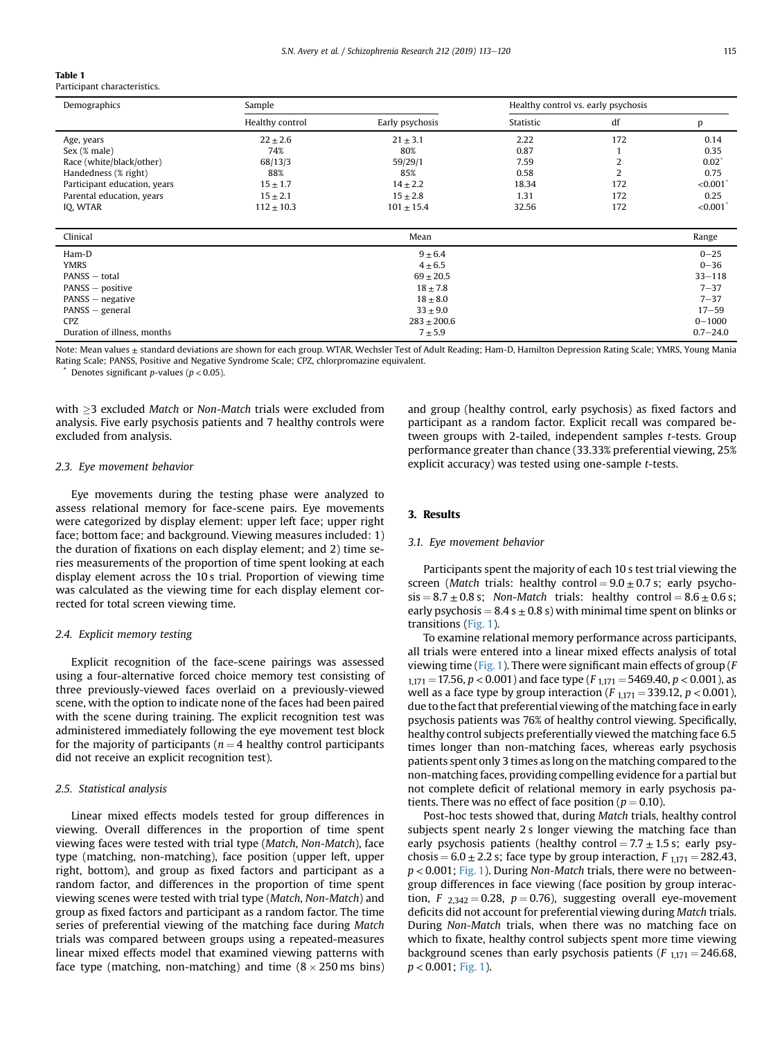#### <span id="page-2-0"></span>Table 1

Participant characte

| Demographics                 | Sample          |                 | Healthy control vs. early psychosis |     |          |
|------------------------------|-----------------|-----------------|-------------------------------------|-----|----------|
|                              | Healthy control | Early psychosis | Statistic                           | df  |          |
| Age, years                   | $22 \pm 2.6$    | $21 \pm 3.1$    | 2.22                                | 172 | 0.14     |
| Sex (% male)                 | 74%             | 80%             | 0.87                                |     | 0.35     |
| Race (white/black/other)     | 68/13/3         | 59/29/1         | 7.59                                |     | $0.02^*$ |
| Handedness (% right)         | 88%             | 85%             | 0.58                                |     | 0.75     |
| Participant education, years | $15 \pm 1.7$    | $14 \pm 2.2$    | 18.34                               | 172 | < 0.001' |
| Parental education, years    | $15 \pm 2.1$    | $15 \pm 2.8$    | 1.31                                | 172 | 0.25     |
| IO, WTAR                     | $112 \pm 10.3$  | $101 + 15.4$    | 32.56                               | 172 | < 0.001' |

| Clinical                    | Mean            | Range        |
|-----------------------------|-----------------|--------------|
| Ham-D                       | $9 \pm 6.4$     | $0 - 25$     |
| <b>YMRS</b>                 | $4 \pm 6.5$     | $0 - 36$     |
| PANSS - total               | $69 \pm 20.5$   | $33 - 118$   |
| PANSS – positive            | $18 \pm 7.8$    | $7 - 37$     |
| PANSS – negative            | $18 \pm 8.0$    | $7 - 37$     |
| PANSS – general             | $33 \pm 9.0$    | $17 - 59$    |
| <b>CPZ</b>                  | $283 \pm 200.6$ | $0 - 1000$   |
| Duration of illness, months | $7 + 5.9$       | $0.7 - 24.0$ |

Note: Mean values ± standard deviations are shown for each group. WTAR, Wechsler Test of Adult Reading; Ham-D, Hamilton Depression Rating Scale; YMRS, Young Mania Rating Scale; PANSS, Positive and Negative Syndrome Scale; CPZ, chlorpromazine equivalent.

Denotes significant p-values ( $p < 0.05$ ).

with  $\geq$ 3 excluded Match or Non-Match trials were excluded from analysis. Five early psychosis patients and 7 healthy controls were excluded from analysis.

#### 2.3. Eye movement behavior

Eye movements during the testing phase were analyzed to assess relational memory for face-scene pairs. Eye movements were categorized by display element: upper left face; upper right face; bottom face; and background. Viewing measures included: 1) the duration of fixations on each display element; and 2) time series measurements of the proportion of time spent looking at each display element across the 10 s trial. Proportion of viewing time was calculated as the viewing time for each display element corrected for total screen viewing time.

#### 2.4. Explicit memory testing

Explicit recognition of the face-scene pairings was assessed using a four-alternative forced choice memory test consisting of three previously-viewed faces overlaid on a previously-viewed scene, with the option to indicate none of the faces had been paired with the scene during training. The explicit recognition test was administered immediately following the eye movement test block for the majority of participants ( $n = 4$  healthy control participants did not receive an explicit recognition test).

#### 2.5. Statistical analysis

Linear mixed effects models tested for group differences in viewing. Overall differences in the proportion of time spent viewing faces were tested with trial type (Match, Non-Match), face type (matching, non-matching), face position (upper left, upper right, bottom), and group as fixed factors and participant as a random factor, and differences in the proportion of time spent viewing scenes were tested with trial type (Match, Non-Match) and group as fixed factors and participant as a random factor. The time series of preferential viewing of the matching face during Match trials was compared between groups using a repeated-measures linear mixed effects model that examined viewing patterns with face type (matching, non-matching) and time  $(8 \times 250 \text{ ms bins})$  and group (healthy control, early psychosis) as fixed factors and participant as a random factor. Explicit recall was compared between groups with 2-tailed, independent samples t-tests. Group performance greater than chance (33.33% preferential viewing, 25% explicit accuracy) was tested using one-sample t-tests.

#### 3. Results

## 3.1. Eye movement behavior

Participants spent the majority of each 10 s test trial viewing the screen (Match trials: healthy control =  $9.0 \pm 0.7$  s; early psycho $sis = 8.7 \pm 0.8$  s; Non-Match trials: healthy control =  $8.6 \pm 0.6$  s; early psychosis =  $8.4 s \pm 0.8 s$ ) with minimal time spent on blinks or transitions [\(Fig. 1\)](#page-3-0).

To examine relational memory performance across participants, all trials were entered into a linear mixed effects analysis of total viewing time [\(Fig. 1](#page-3-0)). There were significant main effects of group ( $F$  $1,171 = 17.56$ ,  $p < 0.001$ ) and face type (F  $1,171 = 5469.40$ ,  $p < 0.001$ ), as well as a face type by group interaction ( $F_{1,171} = 339.12$ ,  $p < 0.001$ ), due to the fact that preferential viewing of the matching face in early psychosis patients was 76% of healthy control viewing. Specifically, healthy control subjects preferentially viewed the matching face 6.5 times longer than non-matching faces, whereas early psychosis patients spent only 3 times as long on the matching compared to the non-matching faces, providing compelling evidence for a partial but not complete deficit of relational memory in early psychosis patients. There was no effect of face position ( $p = 0.10$ ).

Post-hoc tests showed that, during Match trials, healthy control subjects spent nearly 2 s longer viewing the matching face than early psychosis patients (healthy control  $= 7.7 \pm 1.5$  s; early psychosis =  $6.0 \pm 2.2$  s; face type by group interaction,  $F_{1,171} = 282.43$ ,  $p < 0.001$ ; [Fig. 1](#page-3-0)). During Non-Match trials, there were no betweengroup differences in face viewing (face position by group interaction,  $F_{2,342} = 0.28$ ,  $p = 0.76$ ), suggesting overall eye-movement deficits did not account for preferential viewing during Match trials. During Non-Match trials, when there was no matching face on which to fixate, healthy control subjects spent more time viewing background scenes than early psychosis patients ( $F_{1,171} = 246.68$ ,  $p < 0.001$ ; [Fig. 1\)](#page-3-0).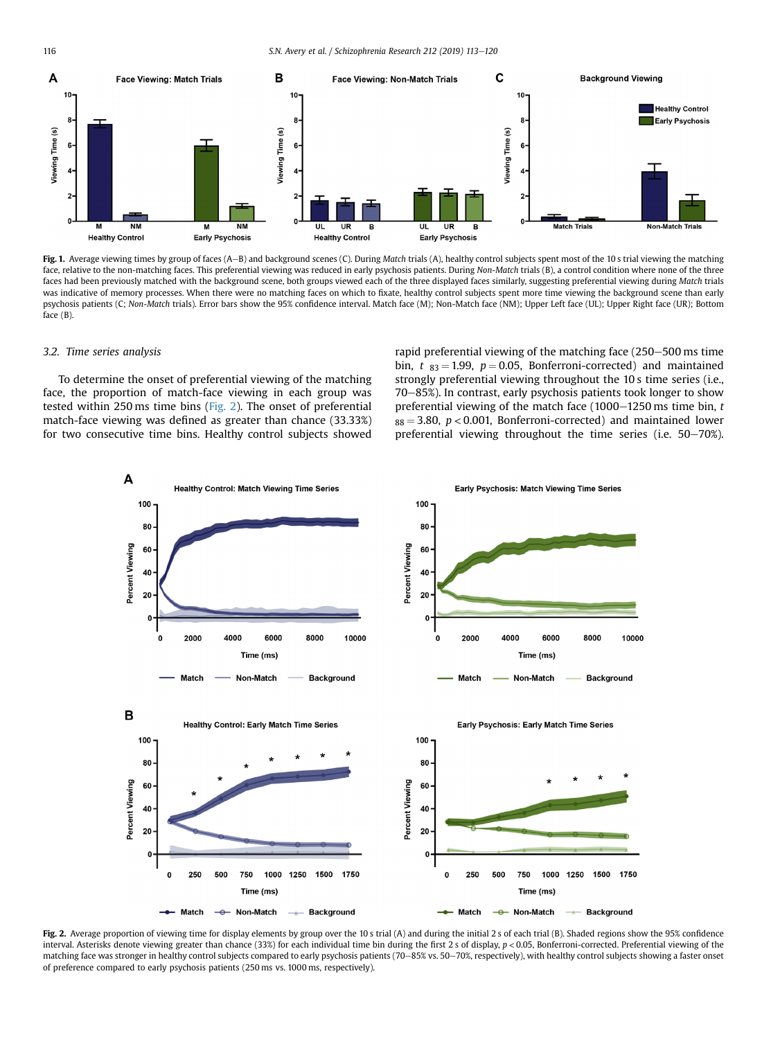<span id="page-3-0"></span>116 S.N. Avery et al. / Schizophrenia Research 212 (2019) 113–120



Fig. 1. Average viewing times by group of faces (A-B) and background scenes (C). During Match trials (A), healthy control subjects spent most of the 10 s trial viewing the matching face, relative to the non-matching faces. This preferential viewing was reduced in early psychosis patients. During Non-Match trials (B), a control condition where none of the three faces had been previously matched with the background scene, both groups viewed each of the three displayed faces similarly, suggesting preferential viewing during Match trials was indicative of memory processes. When there were no matching faces on which to fixate, healthy control subjects spent more time viewing the background scene than early psychosis patients (C; Non-Match trials). Error bars show the 95% confidence interval. Match face (M); Non-Match face (NM); Upper Left face (UL); Upper Right face (UR); Bottom face (B).

#### 3.2. Time series analysis

To determine the onset of preferential viewing of the matching face, the proportion of match-face viewing in each group was tested within 250 ms time bins (Fig. 2). The onset of preferential match-face viewing was defined as greater than chance (33.33%) for two consecutive time bins. Healthy control subjects showed rapid preferential viewing of the matching face (250–500 ms time bin,  $t_{83} = 1.99$ ,  $p = 0.05$ , Bonferroni-corrected) and maintained strongly preferential viewing throughout the 10 s time series (i.e., 70-85%). In contrast, early psychosis patients took longer to show preferential viewing of the match face (1000-1250 ms time bin,  $t$  $88 = 3.80$ ,  $p < 0.001$ , Bonferroni-corrected) and maintained lower preferential viewing throughout the time series (i.e.  $50-70%$ ).



Fig. 2. Average proportion of viewing time for display elements by group over the 10 s trial (A) and during the initial 2 s of each trial (B). Shaded regions show the 95% confidence interval. Asterisks denote viewing greater than chance (33%) for each individual time bin during the first 2 s of display, p < 0.05, Bonferroni-corrected. Preferential viewing of the matching face was stronger in healthy control subjects compared to early psychosis patients (70-85% vs. 50-70%, respectively), with healthy control subjects showing a faster onset of preference compared to early psychosis patients (250 ms vs. 1000 ms, respectively).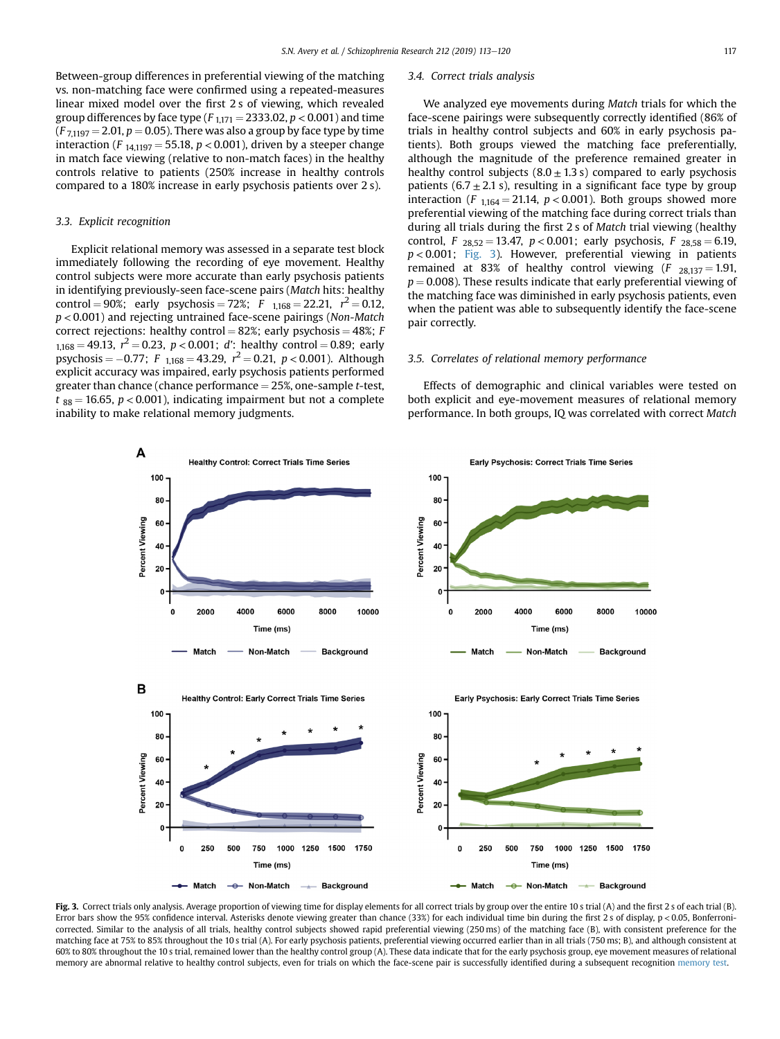Between-group differences in preferential viewing of the matching vs. non-matching face were confirmed using a repeated-measures linear mixed model over the first 2 s of viewing, which revealed group differences by face type ( $F_{1,171} = 2333.02$ ,  $p < 0.001$ ) and time  $(F_{71197} = 2.01, p = 0.05)$ . There was also a group by face type by time interaction (F<sub>141197</sub> = 55.18,  $p < 0.001$ ), driven by a steeper change in match face viewing (relative to non-match faces) in the healthy controls relative to patients (250% increase in healthy controls compared to a 180% increase in early psychosis patients over 2 s).

## 3.3. Explicit recognition

Explicit relational memory was assessed in a separate test block immediately following the recording of eye movement. Healthy control subjects were more accurate than early psychosis patients in identifying previously-seen face-scene pairs (Match hits: healthy control = 90%; early psychosis = 72%;  $F_{1,168} = 22.21$ ,  $r^2 = 0.12$ ,  $p$  < 0.001) and rejecting untrained face-scene pairings (Non-Match correct rejections: healthy control = 82%; early psychosis = 48%; F  $1,168 = 49.13$ ,  $r^2 = 0.23$ ,  $p < 0.001$ ; d': healthy control = 0.89; early psychosis =  $-0.77$ ; F <sub>1,168</sub> = 43.29,  $r^2 = 0.21$ , p < 0.001). Although explicit accuracy was impaired, early psychosis patients performed greater than chance (chance performance  $=$  25%, one-sample t-test,  $t_{88} = 16.65$ ,  $p < 0.001$ ), indicating impairment but not a complete inability to make relational memory judgments.

#### 3.4. Correct trials analysis

We analyzed eye movements during Match trials for which the face-scene pairings were subsequently correctly identified (86% of trials in healthy control subjects and 60% in early psychosis patients). Both groups viewed the matching face preferentially, although the magnitude of the preference remained greater in healthy control subjects  $(8.0 \pm 1.3 \text{ s})$  compared to early psychosis patients (6.7  $\pm$  2.1 s), resulting in a significant face type by group interaction (F  $_{1,164} = 21.14$ ,  $p < 0.001$ ). Both groups showed more preferential viewing of the matching face during correct trials than during all trials during the first 2 s of Match trial viewing (healthy control,  $F_{28,52} = 13.47$ ,  $p < 0.001$ ; early psychosis,  $F_{28,58} = 6.19$ ,  $p < 0.001$ ; Fig. 3). However, preferential viewing in patients remained at 83% of healthy control viewing  $(F_{28,137} = 1.91,$  $p = 0.008$ ). These results indicate that early preferential viewing of the matching face was diminished in early psychosis patients, even when the patient was able to subsequently identify the face-scene pair correctly.

#### 3.5. Correlates of relational memory performance

Effects of demographic and clinical variables were tested on both explicit and eye-movement measures of relational memory performance. In both groups, IQ was correlated with correct Match



Fig. 3. Correct trials only analysis. Average proportion of viewing time for display elements for all correct trials by group over the entire 10 s trial (A) and the first 2 s of each trial (B). Error bars show the 95% confidence interval. Asterisks denote viewing greater than chance (33%) for each individual time bin during the first 2 s of display, p < 0.05, Bonferronicorrected. Similar to the analysis of all trials, healthy control subjects showed rapid preferential viewing (250 ms) of the matching face (B), with consistent preference for the matching face at 75% to 85% throughout the 10 s trial (A). For early psychosis patients, preferential viewing occurred earlier than in all trials (750 ms; B), and although consistent at 60% to 80% throughout the 10 s trial, remained lower than the healthy control group (A). These data indicate that for the early psychosis group, eye movement measures of relational memory are abnormal relative to healthy control subjects, even for trials on which the face-scene pair is successfully identified during a subsequent recognition [memory test](https://www.sciencedirect.com/topics/medicine-and-dentistry/memory-test).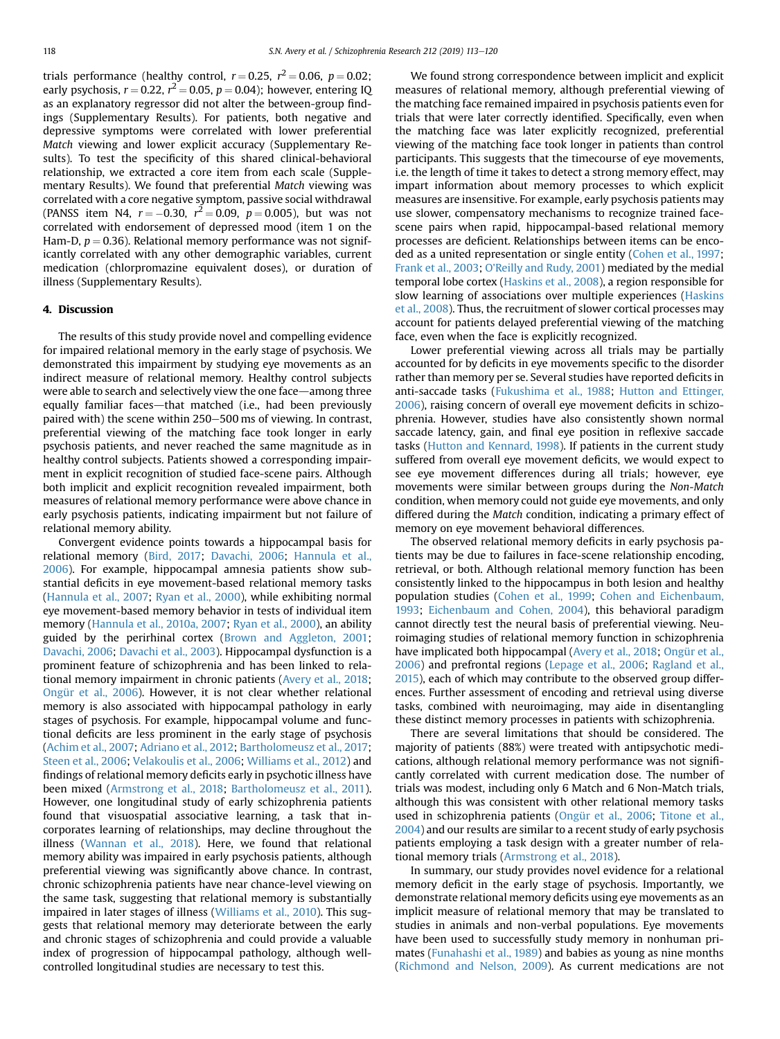trials performance (healthy control,  $r = 0.25$ ,  $r^2 = 0.06$ ,  $p = 0.02$ ; early psychosis,  $r = 0.22$ ,  $r^2 = 0.05$ ,  $p = 0.04$ ); however, entering IQ as an explanatory regressor did not alter the between-group findings (Supplementary Results). For patients, both negative and depressive symptoms were correlated with lower preferential Match viewing and lower explicit accuracy (Supplementary Results). To test the specificity of this shared clinical-behavioral relationship, we extracted a core item from each scale (Supplementary Results). We found that preferential Match viewing was correlated with a core negative symptom, passive social withdrawal (PANSS item N4,  $r = -0.30$ ,  $r^2 = 0.09$ ,  $p = 0.005$ ), but was not correlated with endorsement of depressed mood (item 1 on the Ham-D,  $p = 0.36$ ). Relational memory performance was not significantly correlated with any other demographic variables, current medication (chlorpromazine equivalent doses), or duration of illness (Supplementary Results).

## 4. Discussion

The results of this study provide novel and compelling evidence for impaired relational memory in the early stage of psychosis. We demonstrated this impairment by studying eye movements as an indirect measure of relational memory. Healthy control subjects were able to search and selectively view the one face—among three equally familiar faces—that matched (i.e., had been previously paired with) the scene within 250–500 ms of viewing. In contrast, preferential viewing of the matching face took longer in early psychosis patients, and never reached the same magnitude as in healthy control subjects. Patients showed a corresponding impairment in explicit recognition of studied face-scene pairs. Although both implicit and explicit recognition revealed impairment, both measures of relational memory performance were above chance in early psychosis patients, indicating impairment but not failure of relational memory ability.

Convergent evidence points towards a hippocampal basis for relational memory [\(Bird, 2017;](#page-6-0) [Davachi, 2006;](#page-6-0) [Hannula et al.,](#page-6-0) [2006](#page-6-0)). For example, hippocampal amnesia patients show substantial deficits in eye movement-based relational memory tasks ([Hannula et al., 2007](#page-6-0); [Ryan et al., 2000\)](#page-7-0), while exhibiting normal eye movement-based memory behavior in tests of individual item memory [\(Hannula et al., 2010a, 2007;](#page-6-0) [Ryan et al., 2000](#page-7-0)), an ability guided by the perirhinal cortex [\(Brown and Aggleton, 2001](#page-6-0); [Davachi, 2006](#page-6-0); [Davachi et al., 2003\)](#page-6-0). Hippocampal dysfunction is a prominent feature of schizophrenia and has been linked to relational memory impairment in chronic patients ([Avery et al., 2018](#page-6-0); [Ongür et al., 2006](#page-7-0)). However, it is not clear whether relational memory is also associated with hippocampal pathology in early stages of psychosis. For example, hippocampal volume and functional deficits are less prominent in the early stage of psychosis ([Achim et al., 2007](#page-6-0); [Adriano et al., 2012;](#page-6-0) [Bartholomeusz et al., 2017](#page-6-0); [Steen et al., 2006;](#page-7-0) [Velakoulis et al., 2006;](#page-7-0) [Williams et al., 2012\)](#page-7-0) and findings of relational memory deficits early in psychotic illness have been mixed [\(Armstrong et al., 2018;](#page-6-0) [Bartholomeusz et al., 2011\)](#page-6-0). However, one longitudinal study of early schizophrenia patients found that visuospatial associative learning, a task that incorporates learning of relationships, may decline throughout the illness ([Wannan et al., 2018](#page-7-0)). Here, we found that relational memory ability was impaired in early psychosis patients, although preferential viewing was significantly above chance. In contrast, chronic schizophrenia patients have near chance-level viewing on the same task, suggesting that relational memory is substantially impaired in later stages of illness [\(Williams et al., 2010\)](#page-7-0). This suggests that relational memory may deteriorate between the early and chronic stages of schizophrenia and could provide a valuable index of progression of hippocampal pathology, although wellcontrolled longitudinal studies are necessary to test this.

We found strong correspondence between implicit and explicit measures of relational memory, although preferential viewing of the matching face remained impaired in psychosis patients even for trials that were later correctly identified. Specifically, even when the matching face was later explicitly recognized, preferential viewing of the matching face took longer in patients than control participants. This suggests that the timecourse of eye movements, i.e. the length of time it takes to detect a strong memory effect, may impart information about memory processes to which explicit measures are insensitive. For example, early psychosis patients may use slower, compensatory mechanisms to recognize trained facescene pairs when rapid, hippocampal-based relational memory processes are deficient. Relationships between items can be encoded as a united representation or single entity [\(Cohen et al., 1997](#page-6-0); [Frank et al., 2003;](#page-6-0) [O'Reilly and Rudy, 2001\)](#page-7-0) mediated by the medial temporal lobe cortex ([Haskins et al., 2008\)](#page-6-0), a region responsible for slow learning of associations over multiple experiences [\(Haskins](#page-6-0) [et al., 2008\)](#page-6-0). Thus, the recruitment of slower cortical processes may account for patients delayed preferential viewing of the matching face, even when the face is explicitly recognized.

Lower preferential viewing across all trials may be partially accounted for by deficits in eye movements specific to the disorder rather than memory per se. Several studies have reported deficits in anti-saccade tasks [\(Fukushima et al., 1988](#page-6-0); [Hutton and Ettinger,](#page-7-0) [2006](#page-7-0)), raising concern of overall eye movement deficits in schizophrenia. However, studies have also consistently shown normal saccade latency, gain, and final eye position in reflexive saccade tasks ([Hutton and Kennard, 1998](#page-7-0)). If patients in the current study suffered from overall eye movement deficits, we would expect to see eye movement differences during all trials; however, eye movements were similar between groups during the Non-Match condition, when memory could not guide eye movements, and only differed during the Match condition, indicating a primary effect of memory on eye movement behavioral differences.

The observed relational memory deficits in early psychosis patients may be due to failures in face-scene relationship encoding, retrieval, or both. Although relational memory function has been consistently linked to the hippocampus in both lesion and healthy population studies ([Cohen et al., 1999;](#page-6-0) [Cohen and Eichenbaum,](#page-6-0) [1993](#page-6-0); [Eichenbaum and Cohen, 2004\)](#page-6-0), this behavioral paradigm cannot directly test the neural basis of preferential viewing. Neuroimaging studies of relational memory function in schizophrenia have implicated both hippocampal ([Avery et al., 2018;](#page-6-0) [Ongür et al.,](#page-7-0) [2006](#page-7-0)) and prefrontal regions ([Lepage et al., 2006](#page-7-0); [Ragland et al.,](#page-7-0) [2015\)](#page-7-0), each of which may contribute to the observed group differences. Further assessment of encoding and retrieval using diverse tasks, combined with neuroimaging, may aide in disentangling these distinct memory processes in patients with schizophrenia.

There are several limitations that should be considered. The majority of patients (88%) were treated with antipsychotic medications, although relational memory performance was not significantly correlated with current medication dose. The number of trials was modest, including only 6 Match and 6 Non-Match trials, although this was consistent with other relational memory tasks used in schizophrenia patients [\(Ongür et al., 2006](#page-7-0); [Titone et al.,](#page-7-0) [2004](#page-7-0)) and our results are similar to a recent study of early psychosis patients employing a task design with a greater number of relational memory trials [\(Armstrong et al., 2018\)](#page-6-0).

In summary, our study provides novel evidence for a relational memory deficit in the early stage of psychosis. Importantly, we demonstrate relational memory deficits using eye movements as an implicit measure of relational memory that may be translated to studies in animals and non-verbal populations. Eye movements have been used to successfully study memory in nonhuman primates ([Funahashi et al., 1989\)](#page-6-0) and babies as young as nine months ([Richmond and Nelson, 2009](#page-7-0)). As current medications are not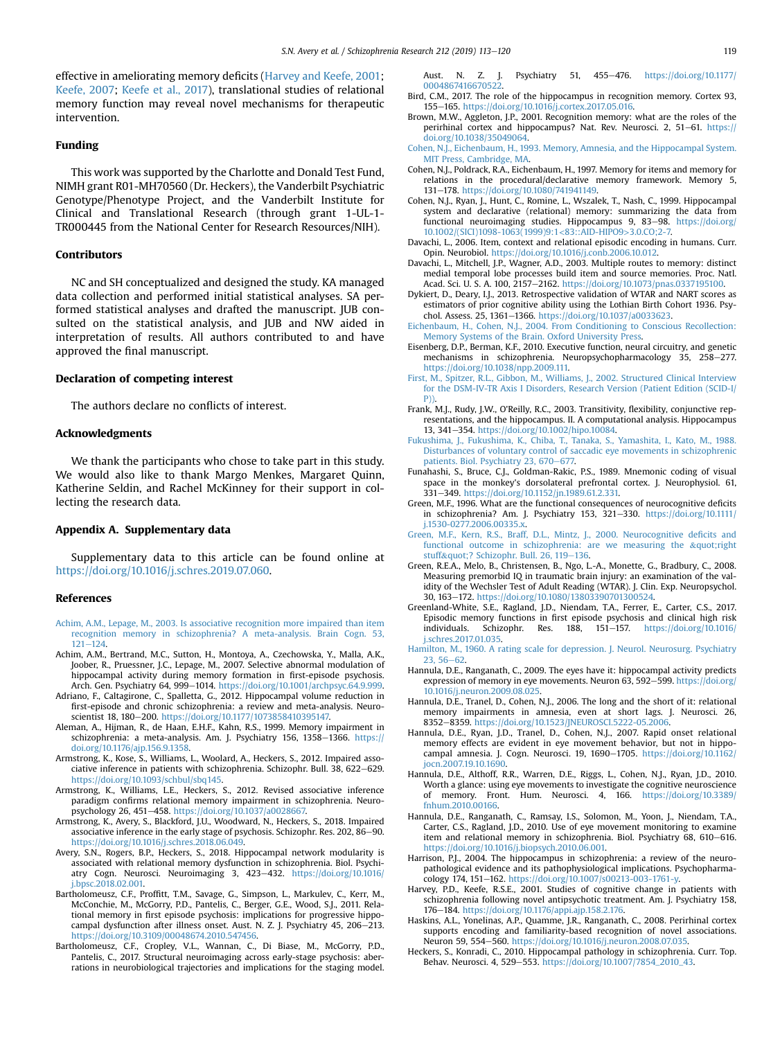<span id="page-6-0"></span>effective in ameliorating memory deficits (Harvey and Keefe, 2001; [Keefe, 2007](#page-7-0); [Keefe et al., 2017\)](#page-7-0), translational studies of relational memory function may reveal novel mechanisms for therapeutic intervention.

## Funding

This work was supported by the Charlotte and Donald Test Fund, NIMH grant R01-MH70560 (Dr. Heckers), the Vanderbilt Psychiatric Genotype/Phenotype Project, and the Vanderbilt Institute for Clinical and Translational Research (through grant 1-UL-1- TR000445 from the National Center for Research Resources/NIH).

#### Contributors

NC and SH conceptualized and designed the study. KA managed data collection and performed initial statistical analyses. SA performed statistical analyses and drafted the manuscript. JUB consulted on the statistical analysis, and JUB and NW aided in interpretation of results. All authors contributed to and have approved the final manuscript.

#### Declaration of competing interest

The authors declare no conflicts of interest.

## Acknowledgments

We thank the participants who chose to take part in this study. We would also like to thank Margo Menkes, Margaret Quinn, Katherine Seldin, and Rachel McKinney for their support in collecting the research data.

#### Appendix A. Supplementary data

Supplementary data to this article can be found online at [https://doi.org/10.1016/j.schres.2019.07.060.](https://doi.org/10.1016/j.schres.2019.07.060)

#### References

- [Achim, A.M., Lepage, M., 2003. Is associative recognition more impaired than item](http://refhub.elsevier.com/S0920-9964(19)30340-8/rf0005) [recognition memory in schizophrenia? A meta-analysis. Brain Cogn. 53,](http://refhub.elsevier.com/S0920-9964(19)30340-8/rf0005)  $121 - 124$  $121 - 124$
- Achim, A.M., Bertrand, M.C., Sutton, H., Montoya, A., Czechowska, Y., Malla, A.K., Joober, R., Pruessner, J.C., Lepage, M., 2007. Selective abnormal modulation of hippocampal activity during memory formation in first-episode psychosis. Arch. Gen. Psychiatry 64, 999-1014. <https://doi.org/10.1001/archpsyc.64.9.999>.
- Adriano, F., Caltagirone, C., Spalletta, G., 2012. Hippocampal volume reduction in first-episode and chronic schizophrenia: a review and meta-analysis. Neuroscientist 18, 180-200. [https://doi.org/10.1177/1073858410395147.](https://doi.org/10.1177/1073858410395147)
- Aleman, A., Hijman, R., de Haan, E.H.F., Kahn, R.S., 1999. Memory impairment in schizophrenia: a meta-analysis. Am. J. Psychiatry 156, 1358-1366. [https://](https://doi.org/10.1176/ajp.156.9.1358) [doi.org/10.1176/ajp.156.9.1358](https://doi.org/10.1176/ajp.156.9.1358).
- Armstrong, K., Kose, S., Williams, L., Woolard, A., Heckers, S., 2012. Impaired associative inference in patients with schizophrenia. Schizophr. Bull. 38, 622-629. <https://doi.org/10.1093/schbul/sbq145>.
- Armstrong, K., Williams, L.E., Heckers, S., 2012. Revised associative inference paradigm confirms relational memory impairment in schizophrenia. Neuropsychology 26, 451-458. [https://doi.org/10.1037/a0028667.](https://doi.org/10.1037/a0028667)
- Armstrong, K., Avery, S., Blackford, J.U., Woodward, N., Heckers, S., 2018. Impaired associative inference in the early stage of psychosis. Schizophr. Res. 202, 86-90. [https://doi.org/10.1016/j.schres.2018.06.049.](https://doi.org/10.1016/j.schres.2018.06.049)
- Avery, S.N., Rogers, B.P., Heckers, S., 2018. Hippocampal network modularity is associated with relational memory dysfunction in schizophrenia. Biol. Psychiatry Cogn. Neurosci. Neuroimaging 3, 423-432. [https://doi.org/10.1016/](https://doi.org/10.1016/j.bpsc.2018.02.001) [j.bpsc.2018.02.001.](https://doi.org/10.1016/j.bpsc.2018.02.001)
- Bartholomeusz, C.F., Proffitt, T.M., Savage, G., Simpson, L., Markulev, C., Kerr, M., McConchie, M., McGorry, P.D., Pantelis, C., Berger, G.E., Wood, S.J., 2011. Relational memory in first episode psychosis: implications for progressive hippocampal dysfunction after illness onset. Aust. N. Z. J. Psychiatry 45, 206-213. [https://doi.org/10.3109/00048674.2010.547456.](https://doi.org/10.3109/00048674.2010.547456)
- Bartholomeusz, C.F., Cropley, V.L., Wannan, C., Di Biase, M., McGorry, P.D., Pantelis, C., 2017. Structural neuroimaging across early-stage psychosis: aberrations in neurobiological trajectories and implications for the staging model.
- Aust. N. Z. J. Psychiatry 51, 455-476. [https://doi.org/10.1177/](https://doi.org/10.1177/0004867416670522) [0004867416670522](https://doi.org/10.1177/0004867416670522).
- Bird, C.M., 2017. The role of the hippocampus in recognition memory. Cortex 93, 155-165. <https://doi.org/10.1016/j.cortex.2017.05.016>.
- Brown, M.W., Aggleton, J.P., 2001. Recognition memory: what are the roles of the perirhinal cortex and hippocampus? Nat. Rev. Neurosci. 2, 51-61. [https://](https://doi.org/10.1038/35049064) [doi.org/10.1038/35049064.](https://doi.org/10.1038/35049064)
- [Cohen, N.J., Eichenbaum, H., 1993. Memory, Amnesia, and the Hippocampal System.](http://refhub.elsevier.com/S0920-9964(19)30340-8/rf0065) [MIT Press, Cambridge, MA.](http://refhub.elsevier.com/S0920-9964(19)30340-8/rf0065)
- Cohen, N.J., Poldrack, R.A., Eichenbaum, H., 1997. Memory for items and memory for relations in the procedural/declarative memory framework. Memory 5, 131-178. [https://doi.org/10.1080/741941149.](https://doi.org/10.1080/741941149)
- Cohen, N.J., Ryan, J., Hunt, C., Romine, L., Wszalek, T., Nash, C., 1999. Hippocampal system and declarative (relational) memory: summarizing the data from functional neuroimaging studies. Hippocampus 9, 83-98. [https://doi.org/](https://doi.org/10.1002/(SICI)1098-1063(1999)9:1<83::AID-HIPO9>3.0.CO;2-7) [10.1002/\(SICI\)1098-1063\(1999\)9:1](https://doi.org/10.1002/(SICI)1098-1063(1999)9:1<83::AID-HIPO9>3.0.CO;2-7)<83::AID-HIPO9>3.0.CO;2-7.
- Davachi, L., 2006. Item, context and relational episodic encoding in humans. Curr. Opin. Neurobiol. [https://doi.org/10.1016/j.conb.2006.10.012.](https://doi.org/10.1016/j.conb.2006.10.012)
- Davachi, L., Mitchell, J.P., Wagner, A.D., 2003. Multiple routes to memory: distinct medial temporal lobe processes build item and source memories. Proc. Natl. Acad. Sci. U. S. A. 100, 2157-2162. [https://doi.org/10.1073/pnas.0337195100.](https://doi.org/10.1073/pnas.0337195100)
- Dykiert, D., Deary, I.J., 2013. Retrospective validation of WTAR and NART scores as estimators of prior cognitive ability using the Lothian Birth Cohort 1936. Psychol. Assess. 25, 1361-1366. <https://doi.org/10.1037/a0033623>.
- [Eichenbaum, H., Cohen, N.J., 2004. From Conditioning to Conscious Recollection:](http://refhub.elsevier.com/S0920-9964(19)30340-8/rf0095) [Memory Systems of the Brain. Oxford University Press.](http://refhub.elsevier.com/S0920-9964(19)30340-8/rf0095)
- Eisenberg, D.P., Berman, K.F., 2010. Executive function, neural circuitry, and genetic mechanisms in schizophrenia. Neuropsychopharmacology 35, 258-277. [https://doi.org/10.1038/npp.2009.111.](https://doi.org/10.1038/npp.2009.111)
- [First, M., Spitzer, R.L., Gibbon, M., Williams, J., 2002. Structured Clinical Interview](http://refhub.elsevier.com/S0920-9964(19)30340-8/rf0105) [for the DSM-IV-TR Axis I Disorders, Research Version \(Patient Edition \(SCID-I/](http://refhub.elsevier.com/S0920-9964(19)30340-8/rf0105)
- [P\)\)](http://refhub.elsevier.com/S0920-9964(19)30340-8/rf0105). Frank, M.J., Rudy, J.W., O'Reilly, R.C., 2003. Transitivity, flexibility, conjunctive representations, and the hippocampus. II. A computational analysis. Hippocampus 13, 341-354. [https://doi.org/10.1002/hipo.10084.](https://doi.org/10.1002/hipo.10084)
- [Fukushima, J., Fukushima, K., Chiba, T., Tanaka, S., Yamashita, I., Kato, M., 1988.](http://refhub.elsevier.com/S0920-9964(19)30340-8/rf0115) [Disturbances of voluntary control of saccadic eye movements in schizophrenic](http://refhub.elsevier.com/S0920-9964(19)30340-8/rf0115) [patients. Biol. Psychiatry 23, 670](http://refhub.elsevier.com/S0920-9964(19)30340-8/rf0115)-[677.](http://refhub.elsevier.com/S0920-9964(19)30340-8/rf0115)
- Funahashi, S., Bruce, C.J., Goldman-Rakic, P.S., 1989. Mnemonic coding of visual space in the monkey's dorsolateral prefrontal cortex. J. Neurophysiol. 61, 331e349. [https://doi.org/10.1152/jn.1989.61.2.331.](https://doi.org/10.1152/jn.1989.61.2.331)
- Green, M.F., 1996. What are the functional consequences of neurocognitive deficits in schizophrenia? Am. J. Psychiatry 153, 321-330. [https://doi.org/10.1111/](https://doi.org/10.1111/j.1530-0277.2006.00335.x) [j.1530-0277.2006.00335.x](https://doi.org/10.1111/j.1530-0277.2006.00335.x).
- [Green, M.F., Kern, R.S., Braff, D.L., Mintz, J., 2000. Neurocognitive de](http://refhub.elsevier.com/S0920-9964(19)30340-8/rf0130)ficits and [functional outcome in schizophrenia: are we measuring the](http://refhub.elsevier.com/S0920-9964(19)30340-8/rf0130) "right [stuff](http://refhub.elsevier.com/S0920-9964(19)30340-8/rf0130)"? Schizophr. Bull. 26, 119-[136.](http://refhub.elsevier.com/S0920-9964(19)30340-8/rf0130)
- Green, R.E.A., Melo, B., Christensen, B., Ngo, L.-A., Monette, G., Bradbury, C., 2008. Measuring premorbid IQ in traumatic brain injury: an examination of the validity of the Wechsler Test of Adult Reading (WTAR). J. Clin. Exp. Neuropsychol. 30, 163-172. [https://doi.org/10.1080/13803390701300524.](https://doi.org/10.1080/13803390701300524)
- Greenland-White, S.E., Ragland, J.D., Niendam, T.A., Ferrer, E., Carter, C.S., 2017. Episodic memory functions in first episode psychosis and clinical high risk individuals. Schizophr. Res. 188, 151-157. [https://doi.org/10.1016/](https://doi.org/10.1016/j.schres.2017.01.035) [j.schres.2017.01.035.](https://doi.org/10.1016/j.schres.2017.01.035)
- [Hamilton, M., 1960. A rating scale for depression. J. Neurol. Neurosurg. Psychiatry](http://refhub.elsevier.com/S0920-9964(19)30340-8/rf0145)  $23, 56 - 62.$  $23, 56 - 62.$  $23, 56 - 62.$  $23, 56 - 62.$
- Hannula, D.E., Ranganath, C., 2009. The eyes have it: hippocampal activity predicts expression of memory in eye movements. Neuron 63, 592-599. [https://doi.org/](https://doi.org/10.1016/j.neuron.2009.08.025) [10.1016/j.neuron.2009.08.025](https://doi.org/10.1016/j.neuron.2009.08.025).
- Hannula, D.E., Tranel, D., Cohen, N.J., 2006. The long and the short of it: relational memory impairments in amnesia, even at short lags. J. Neurosci. 26, 8352-8359. [https://doi.org/10.1523/JNEUROSCI.5222-05.2006.](https://doi.org/10.1523/JNEUROSCI.5222-05.2006)
- Hannula, D.E., Ryan, J.D., Tranel, D., Cohen, N.J., 2007. Rapid onset relational memory effects are evident in eye movement behavior, but not in hippocampal amnesia. J. Cogn. Neurosci. 19, 1690-1705. [https://doi.org/10.1162/](https://doi.org/10.1162/jocn.2007.19.10.1690) [jocn.2007.19.10.1690](https://doi.org/10.1162/jocn.2007.19.10.1690).
- Hannula, D.E., Althoff, R.R., Warren, D.E., Riggs, L., Cohen, N.J., Ryan, J.D., 2010. Worth a glance: using eye movements to investigate the cognitive neuroscience of memory. Front. Hum. Neurosci. 4, 166. [https://doi.org/10.3389/](https://doi.org/10.3389/fnhum.2010.00166) [fnhum.2010.00166.](https://doi.org/10.3389/fnhum.2010.00166)
- Hannula, D.E., Ranganath, C., Ramsay, I.S., Solomon, M., Yoon, J., Niendam, T.A., Carter, C.S., Ragland, J.D., 2010. Use of eye movement monitoring to examine item and relational memory in schizophrenia. Biol. Psychiatry 68, 610-616. [https://doi.org/10.1016/j.biopsych.2010.06.001.](https://doi.org/10.1016/j.biopsych.2010.06.001)
- Harrison, P.J., 2004. The hippocampus in schizophrenia: a review of the neuropathological evidence and its pathophysiological implications. Psychopharmacology 174, 151-162. [https://doi.org/10.1007/s00213-003-1761-y.](https://doi.org/10.1007/s00213-003-1761-y)
- Harvey, P.D., Keefe, R.S.E., 2001. Studies of cognitive change in patients with schizophrenia following novel antipsychotic treatment. Am. J. Psychiatry 158, 176-184. <https://doi.org/10.1176/appi.ajp.158.2.176>.
- Haskins, A.L., Yonelinas, A.P., Quamme, J.R., Ranganath, C., 2008. Perirhinal cortex supports encoding and familiarity-based recognition of novel associations. Neuron 59, 554-560. <https://doi.org/10.1016/j.neuron.2008.07.035>.
- Heckers, S., Konradi, C., 2010. Hippocampal pathology in schizophrenia. Curr. Top. Behav. Neurosci. 4, 529-553. [https://doi.org/10.1007/7854\\_2010\\_43.](https://doi.org/10.1007/7854_2010_43)